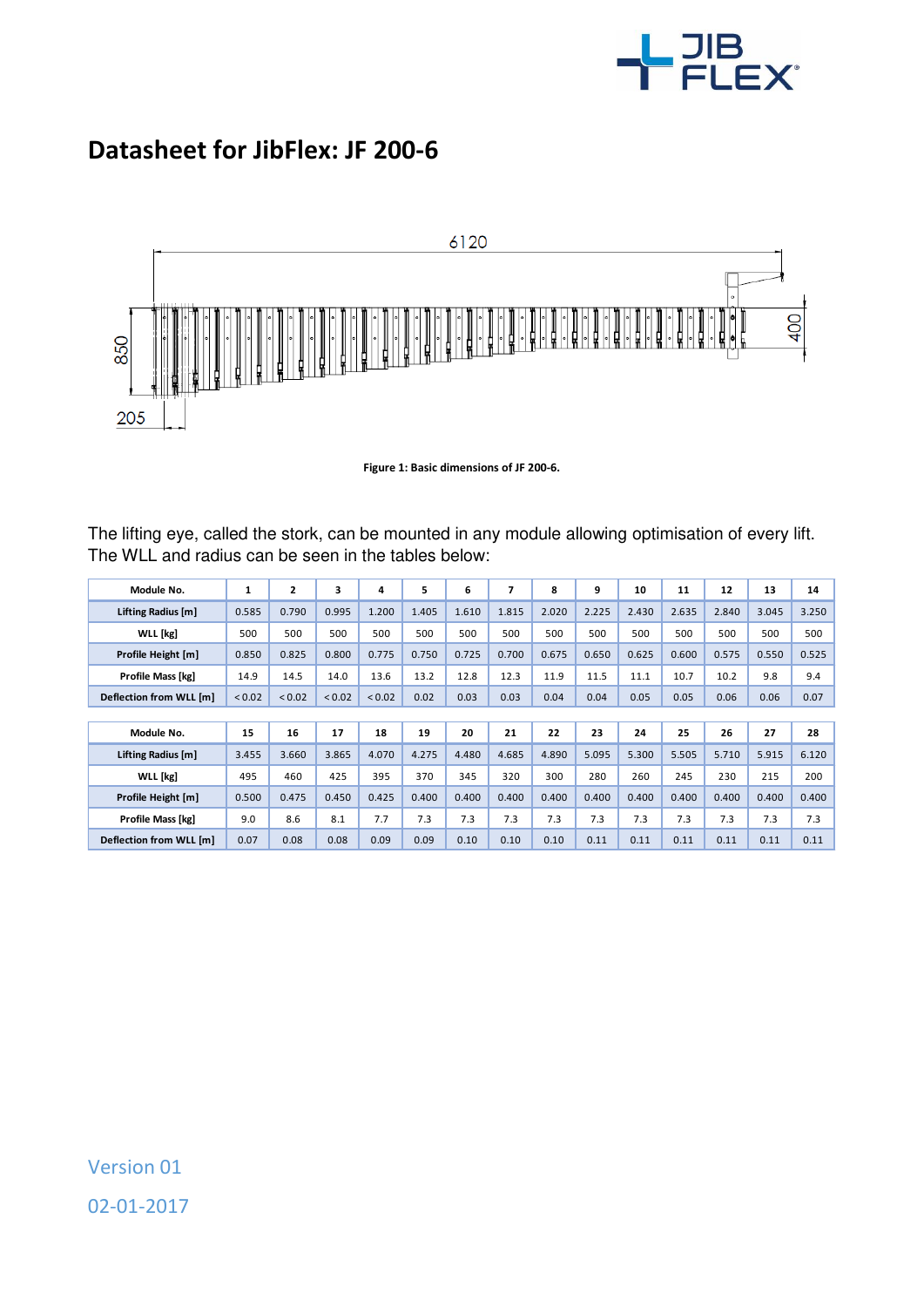

## **Datasheet for JibFlex: JF 200-6**



**Figure 1: Basic dimensions of JF 200-6.** 

The lifting eye, called the stork, can be mounted in any module allowing optimisation of every lift. The WLL and radius can be seen in the tables below:

| Module No.              |        | $\mathbf{2}$ | 3      | 4           | 5     | 6     | 7     | 8     | 9     | 10    | 11    | 12    | 13    | 14    |
|-------------------------|--------|--------------|--------|-------------|-------|-------|-------|-------|-------|-------|-------|-------|-------|-------|
|                         | 1      |              |        |             |       |       |       |       |       |       |       |       |       |       |
| Lifting Radius [m]      | 0.585  | 0.790        | 0.995  | 1.200       | 1.405 | 1.610 | 1.815 | 2.020 | 2.225 | 2.430 | 2.635 | 2.840 | 3.045 | 3.250 |
| <b>WLL</b> [kg]         | 500    | 500          | 500    | 500         | 500   | 500   | 500   | 500   | 500   | 500   | 500   | 500   | 500   | 500   |
| Profile Height [m]      | 0.850  | 0.825        | 0.800  | 0.775       | 0.750 | 0.725 | 0.700 | 0.675 | 0.650 | 0.625 | 0.600 | 0.575 | 0.550 | 0.525 |
| Profile Mass [kg]       | 14.9   | 14.5         | 14.0   | 13.6        | 13.2  | 12.8  | 12.3  | 11.9  | 11.5  | 11.1  | 10.7  | 10.2  | 9.8   | 9.4   |
| Deflection from WLL [m] | < 0.02 | < 0.02       | < 0.02 | ${}_{0.02}$ | 0.02  | 0.03  | 0.03  | 0.04  | 0.04  | 0.05  | 0.05  | 0.06  | 0.06  | 0.07  |
|                         |        |              |        |             |       |       |       |       |       |       |       |       |       |       |
| Module No.              | 15     | 16           | 17     | 18          | 19    | 20    | 21    | 22    | 23    | 24    | 25    | 26    | 27    | 28    |
| Lifting Radius [m]      | 3.455  | 3.660        | 3.865  | 4.070       | 4.275 | 4.480 | 4.685 | 4.890 | 5.095 | 5.300 | 5.505 | 5.710 | 5.915 | 6.120 |
| WLL [kg]                | 495    | 460          | 425    | 395         | 370   | 345   | 320   | 300   | 280   | 260   | 245   | 230   | 215   | 200   |
| Profile Height [m]      | 0.500  | 0.475        | 0.450  | 0.425       | 0.400 | 0.400 | 0.400 | 0.400 | 0.400 | 0.400 | 0.400 | 0.400 | 0.400 | 0.400 |
| Profile Mass [kg]       | 9.0    | 8.6          | 8.1    | 7.7         | 7.3   | 7.3   | 7.3   | 7.3   | 7.3   | 7.3   | 7.3   | 7.3   | 7.3   | 7.3   |
| Deflection from WLL [m] | 0.07   | 0.08         | 0.08   | 0.09        | 0.09  | 0.10  | 0.10  | 0.10  | 0.11  | 0.11  | 0.11  | 0.11  | 0.11  | 0.11  |